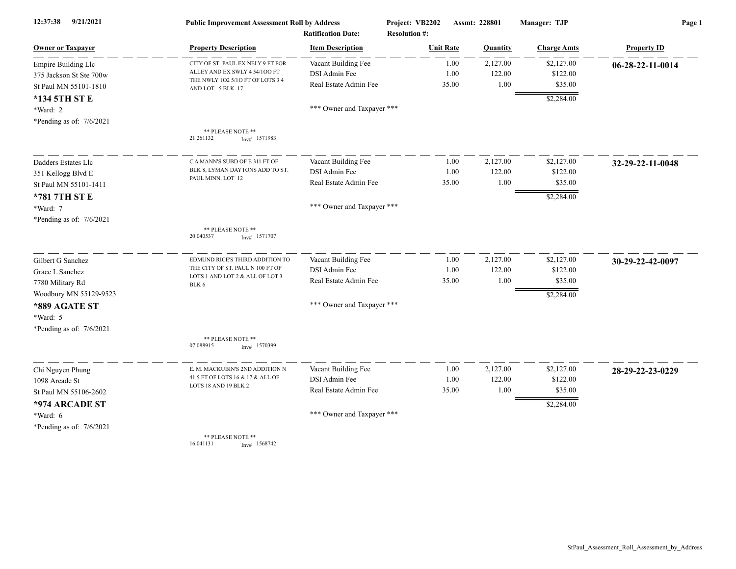| 12:37:38<br>9/21/2021      | <b>Public Improvement Assessment Roll by Address</b><br><b>Ratification Date:</b> |                            | Project: VB2202<br><b>Resolution #:</b> | Assmt: 228801 |                 | Manager: TJP       | Page 1                     |  |
|----------------------------|-----------------------------------------------------------------------------------|----------------------------|-----------------------------------------|---------------|-----------------|--------------------|----------------------------|--|
| <b>Owner or Taxpayer</b>   | <b>Property Description</b>                                                       | <b>Item Description</b>    | <b>Unit Rate</b>                        |               | <b>Quantity</b> | <b>Charge Amts</b> | <b>Property ID</b>         |  |
| Empire Building Llc        | CITY OF ST. PAUL EX NELY 9 FT FOR                                                 | Vacant Building Fee        |                                         | 1.00          | 2,127.00        | \$2,127.00         | $06 - 28 - 22 - 11 - 0014$ |  |
| 375 Jackson St Ste 700w    | ALLEY AND EX SWLY 4 54/100 FT                                                     | DSI Admin Fee              |                                         | 1.00          | 122.00          | \$122.00           |                            |  |
| St Paul MN 55101-1810      | THE NWLY 102 5/10 FT OF LOTS 3 4<br>AND LOT 5 BLK 17                              | Real Estate Admin Fee      |                                         | 35.00         | 1.00            | \$35.00            |                            |  |
| *134 5TH ST E              |                                                                                   |                            |                                         |               |                 | \$2,284.00         |                            |  |
| $*Ward: 2$                 |                                                                                   | *** Owner and Taxpayer *** |                                         |               |                 |                    |                            |  |
| *Pending as of: 7/6/2021   |                                                                                   |                            |                                         |               |                 |                    |                            |  |
|                            | ** PLEASE NOTE **<br>21 26 1 1 32<br>$Inv#$ 1571983                               |                            |                                         |               |                 |                    |                            |  |
| Dadders Estates Llc        | C A MANN'S SUBD OF E 311 FT OF                                                    | Vacant Building Fee        |                                         | 1.00          | 2,127.00        | \$2,127.00         | 32-29-22-11-0048           |  |
| 351 Kellogg Blvd E         | BLK 8, LYMAN DAYTONS ADD TO ST.<br>PAUL MINN. LOT 12                              | DSI Admin Fee              |                                         | 1.00          | 122.00          | \$122.00           |                            |  |
| St Paul MN 55101-1411      |                                                                                   | Real Estate Admin Fee      |                                         | 35.00         | 1.00            | \$35.00            |                            |  |
| *781 7TH ST E              |                                                                                   |                            |                                         |               |                 | \$2,284.00         |                            |  |
| *Ward: 7                   |                                                                                   | *** Owner and Taxpayer *** |                                         |               |                 |                    |                            |  |
| *Pending as of: $7/6/2021$ |                                                                                   |                            |                                         |               |                 |                    |                            |  |
|                            | ** PLEASE NOTE **<br>20 040537<br>$Inv#$ 1571707                                  |                            |                                         |               |                 |                    |                            |  |
| Gilbert G Sanchez          | EDMUND RICE'S THIRD ADDITION TO                                                   | Vacant Building Fee        |                                         | 1.00          | 2,127.00        | \$2,127.00         | 30-29-22-42-0097           |  |
| Grace L Sanchez            | THE CITY OF ST. PAUL N 100 FT OF                                                  | DSI Admin Fee              |                                         | 1.00          | 122.00          | \$122.00           |                            |  |
| 7780 Military Rd           | LOTS 1 AND LOT 2 & ALL OF LOT 3<br>BLK 6                                          | Real Estate Admin Fee      |                                         | 35.00         | 1.00            | \$35.00            |                            |  |
| Woodbury MN 55129-9523     |                                                                                   |                            |                                         |               |                 | \$2,284.00         |                            |  |
| *889 AGATE ST              |                                                                                   | *** Owner and Taxpayer *** |                                         |               |                 |                    |                            |  |
| *Ward: 5                   |                                                                                   |                            |                                         |               |                 |                    |                            |  |
| *Pending as of: 7/6/2021   |                                                                                   |                            |                                         |               |                 |                    |                            |  |
|                            | ** PLEASE NOTE **<br>07 088915<br>Inv# 1570399                                    |                            |                                         |               |                 |                    |                            |  |
| Chi Nguyen Phung           | E. M. MACKUBIN'S 2ND ADDITION N                                                   | Vacant Building Fee        |                                         | 1.00          | 2,127.00        | \$2,127.00         | 28-29-22-23-0229           |  |
| 1098 Arcade St             | 41.5 FT OF LOTS 16 & 17 & ALL OF                                                  | DSI Admin Fee              |                                         | 1.00          | 122.00          | \$122.00           |                            |  |
| St Paul MN 55106-2602      | LOTS 18 AND 19 BLK 2                                                              | Real Estate Admin Fee      |                                         | 35.00         | 1.00            | \$35.00            |                            |  |
| *974 ARCADE ST             |                                                                                   |                            |                                         |               |                 | \$2,284.00         |                            |  |
| *Ward: 6                   |                                                                                   | *** Owner and Taxpayer *** |                                         |               |                 |                    |                            |  |
| *Pending as of: $7/6/2021$ |                                                                                   |                            |                                         |               |                 |                    |                            |  |
|                            | ** PLEASE NOTE **<br>16 04 11 31<br>Inv# 1568742                                  |                            |                                         |               |                 |                    |                            |  |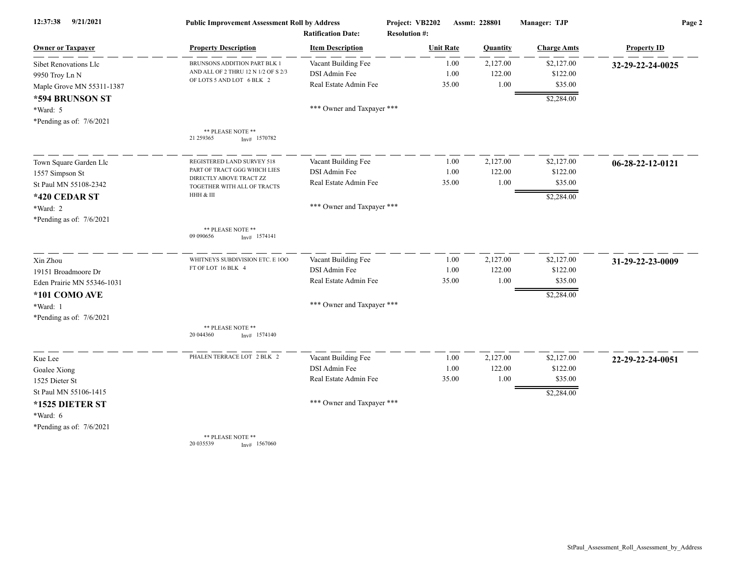| 12:37:38<br>9/21/2021      | <b>Public Improvement Assessment Roll by Address</b>    |                                                      | Project: VB2202                          | Assmt: 228801 | Manager: TJP       | Page 2             |  |
|----------------------------|---------------------------------------------------------|------------------------------------------------------|------------------------------------------|---------------|--------------------|--------------------|--|
| <b>Owner or Taxpayer</b>   | <b>Property Description</b>                             | <b>Ratification Date:</b><br><b>Item Description</b> | <b>Resolution #:</b><br><b>Unit Rate</b> | Quantity      | <b>Charge Amts</b> | <b>Property ID</b> |  |
| Sibet Renovations Llc      | BRUNSONS ADDITION PART BLK 1                            | Vacant Building Fee                                  | 1.00                                     | 2,127.00      | \$2,127.00         | 32-29-22-24-0025   |  |
| 9950 Troy Ln N             | AND ALL OF 2 THRU 12 N 1/2 OF S 2/3                     | DSI Admin Fee                                        | 1.00                                     | 122.00        | \$122.00           |                    |  |
| Maple Grove MN 55311-1387  | OF LOTS 5 AND LOT 6 BLK 2                               | Real Estate Admin Fee                                | 35.00                                    | 1.00          | \$35.00            |                    |  |
| *594 BRUNSON ST            |                                                         |                                                      |                                          |               | \$2,284.00         |                    |  |
| *Ward: 5                   |                                                         | *** Owner and Taxpayer ***                           |                                          |               |                    |                    |  |
| *Pending as of: $7/6/2021$ |                                                         |                                                      |                                          |               |                    |                    |  |
|                            | ** PLEASE NOTE **<br>21 259365<br>$Inv#$ 1570782        |                                                      |                                          |               |                    |                    |  |
| Town Square Garden Llc     | REGISTERED LAND SURVEY 518                              | Vacant Building Fee                                  | 1.00                                     | 2,127.00      | \$2,127.00         | 06-28-22-12-0121   |  |
| 1557 Simpson St            | PART OF TRACT GGG WHICH LIES<br>DIRECTLY ABOVE TRACT ZZ | DSI Admin Fee                                        | 1.00                                     | 122.00        | \$122.00           |                    |  |
| St Paul MN 55108-2342      | TOGETHER WITH ALL OF TRACTS                             | Real Estate Admin Fee                                | 35.00                                    | 1.00          | \$35.00            |                    |  |
| *420 CEDAR ST              | HHH & III                                               |                                                      |                                          |               | \$2,284.00         |                    |  |
| *Ward: 2                   |                                                         | *** Owner and Taxpayer ***                           |                                          |               |                    |                    |  |
| *Pending as of: $7/6/2021$ |                                                         |                                                      |                                          |               |                    |                    |  |
|                            | ** PLEASE NOTE **<br>09 09 0656<br>$Inv#$ 1574141       |                                                      |                                          |               |                    |                    |  |
| Xin Zhou                   | WHITNEYS SUBDIVISION ETC. E 100                         | Vacant Building Fee                                  | 1.00                                     | 2,127.00      | \$2,127.00         | 31-29-22-23-0009   |  |
| 19151 Broadmoore Dr        | FT OF LOT 16 BLK 4                                      | DSI Admin Fee                                        | 1.00                                     | 122.00        | \$122.00           |                    |  |
| Eden Prairie MN 55346-1031 |                                                         | Real Estate Admin Fee                                | 35.00                                    | 1.00          | \$35.00            |                    |  |
| *101 COMO AVE              |                                                         |                                                      |                                          |               | \$2,284.00         |                    |  |
| *Ward: 1                   |                                                         | *** Owner and Taxpayer ***                           |                                          |               |                    |                    |  |
| *Pending as of: $7/6/2021$ |                                                         |                                                      |                                          |               |                    |                    |  |
|                            | ** PLEASE NOTE **<br>20 044360<br>$Inv#$ 1574140        |                                                      |                                          |               |                    |                    |  |
| Kue Lee                    | PHALEN TERRACE LOT 2 BLK 2                              | Vacant Building Fee                                  | 1.00                                     | 2,127.00      | \$2,127.00         | 22-29-22-24-0051   |  |
| Goalee Xiong               |                                                         | DSI Admin Fee                                        | 1.00                                     | 122.00        | \$122.00           |                    |  |
| 1525 Dieter St             |                                                         | Real Estate Admin Fee                                | 35.00                                    | 1.00          | \$35.00            |                    |  |
| St Paul MN 55106-1415      |                                                         |                                                      |                                          |               | \$2,284.00         |                    |  |
| *1525 DIETER ST            |                                                         | *** Owner and Taxpayer ***                           |                                          |               |                    |                    |  |
| *Ward: 6                   |                                                         |                                                      |                                          |               |                    |                    |  |
| *Pending as of: $7/6/2021$ |                                                         |                                                      |                                          |               |                    |                    |  |
|                            | ** PLEASE NOTE **<br>20 035539<br>Inv# 1567060          |                                                      |                                          |               |                    |                    |  |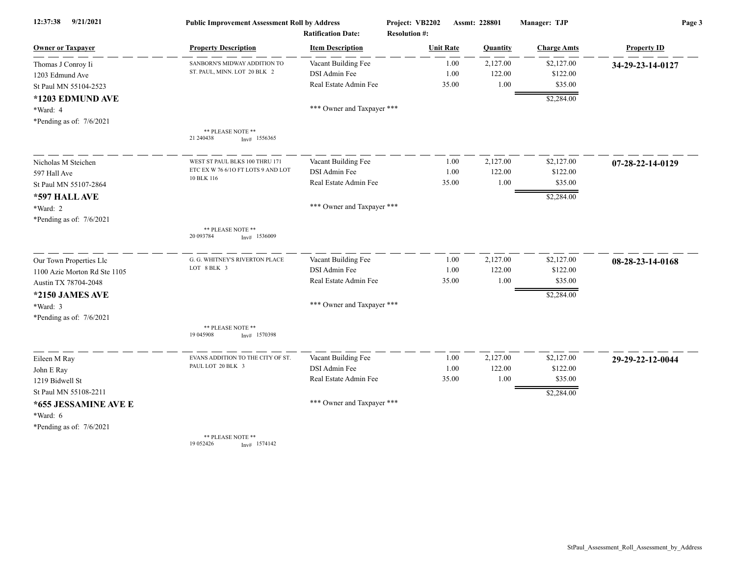| 12:37:38<br>9/21/2021        | <b>Public Improvement Assessment Roll by Address</b><br><b>Ratification Date:</b> |                            | Project: VB2202<br>Assmt: 228801<br><b>Resolution #:</b> |          | Manager: TJP       | Page 3             |  |
|------------------------------|-----------------------------------------------------------------------------------|----------------------------|----------------------------------------------------------|----------|--------------------|--------------------|--|
| <b>Owner or Taxpayer</b>     | <b>Property Description</b>                                                       | <b>Item Description</b>    | <b>Unit Rate</b>                                         | Quantity | <b>Charge Amts</b> | <b>Property ID</b> |  |
| Thomas J Conroy Ii           | SANBORN'S MIDWAY ADDITION TO                                                      | Vacant Building Fee        | 1.00                                                     | 2,127.00 | \$2,127.00         | 34-29-23-14-0127   |  |
| 1203 Edmund Ave              | ST. PAUL, MINN. LOT 20 BLK 2                                                      | DSI Admin Fee              | 1.00                                                     | 122.00   | \$122.00           |                    |  |
| St Paul MN 55104-2523        |                                                                                   | Real Estate Admin Fee      | 35.00                                                    | 1.00     | \$35.00            |                    |  |
| *1203 EDMUND AVE             |                                                                                   |                            |                                                          |          | \$2,284.00         |                    |  |
| *Ward: 4                     |                                                                                   | *** Owner and Taxpayer *** |                                                          |          |                    |                    |  |
| *Pending as of: $7/6/2021$   |                                                                                   |                            |                                                          |          |                    |                    |  |
|                              | ** PLEASE NOTE **<br>21 24 04 38<br>$Inv#$ 1556365                                |                            |                                                          |          |                    |                    |  |
| Nicholas M Steichen          | WEST ST PAUL BLKS 100 THRU 171                                                    | Vacant Building Fee        | 1.00                                                     | 2,127.00 | \$2,127.00         | 07-28-22-14-0129   |  |
| 597 Hall Ave                 | ETC EX W 76 6/10 FT LOTS 9 AND LOT                                                | DSI Admin Fee              | 1.00                                                     | 122.00   | \$122.00           |                    |  |
| St Paul MN 55107-2864        | 10 BLK 116                                                                        | Real Estate Admin Fee      | 35.00                                                    | 1.00     | \$35.00            |                    |  |
| *597 HALL AVE                |                                                                                   |                            |                                                          |          | \$2,284.00         |                    |  |
| *Ward: 2                     |                                                                                   | *** Owner and Taxpayer *** |                                                          |          |                    |                    |  |
| *Pending as of: $7/6/2021$   |                                                                                   |                            |                                                          |          |                    |                    |  |
|                              | ** PLEASE NOTE **<br>20 093784<br>$Inv#$ 1536009                                  |                            |                                                          |          |                    |                    |  |
| Our Town Properties Llc      | G. G. WHITNEY'S RIVERTON PLACE                                                    | Vacant Building Fee        | 1.00                                                     | 2,127.00 | \$2,127.00         | 08-28-23-14-0168   |  |
| 1100 Azie Morton Rd Ste 1105 | LOT 8 BLK 3                                                                       | DSI Admin Fee              | 1.00                                                     | 122.00   | \$122.00           |                    |  |
| Austin TX 78704-2048         |                                                                                   | Real Estate Admin Fee      | 35.00                                                    | 1.00     | \$35.00            |                    |  |
| *2150 JAMES AVE              |                                                                                   |                            |                                                          |          | \$2,284.00         |                    |  |
| *Ward: 3                     |                                                                                   | *** Owner and Taxpayer *** |                                                          |          |                    |                    |  |
| *Pending as of: $7/6/2021$   |                                                                                   |                            |                                                          |          |                    |                    |  |
|                              | ** PLEASE NOTE **<br>19 045908<br>$Inv#$ 1570398                                  |                            |                                                          |          |                    |                    |  |
| Eileen M Ray                 | EVANS ADDITION TO THE CITY OF ST.                                                 | Vacant Building Fee        | 1.00                                                     | 2,127.00 | \$2,127.00         | 29-29-22-12-0044   |  |
| John E Ray                   | PAUL LOT 20 BLK 3                                                                 | DSI Admin Fee              | 1.00                                                     | 122.00   | \$122.00           |                    |  |
| 1219 Bidwell St              |                                                                                   | Real Estate Admin Fee      | 35.00                                                    | 1.00     | \$35.00            |                    |  |
| St Paul MN 55108-2211        |                                                                                   |                            |                                                          |          | \$2,284.00         |                    |  |
| *655 JESSAMINE AVE E         |                                                                                   | *** Owner and Taxpayer *** |                                                          |          |                    |                    |  |
| *Ward: 6                     |                                                                                   |                            |                                                          |          |                    |                    |  |
| *Pending as of: $7/6/2021$   |                                                                                   |                            |                                                          |          |                    |                    |  |
|                              | ** PLEASE NOTE **<br>19 05 24 26<br>Inv# 1574142                                  |                            |                                                          |          |                    |                    |  |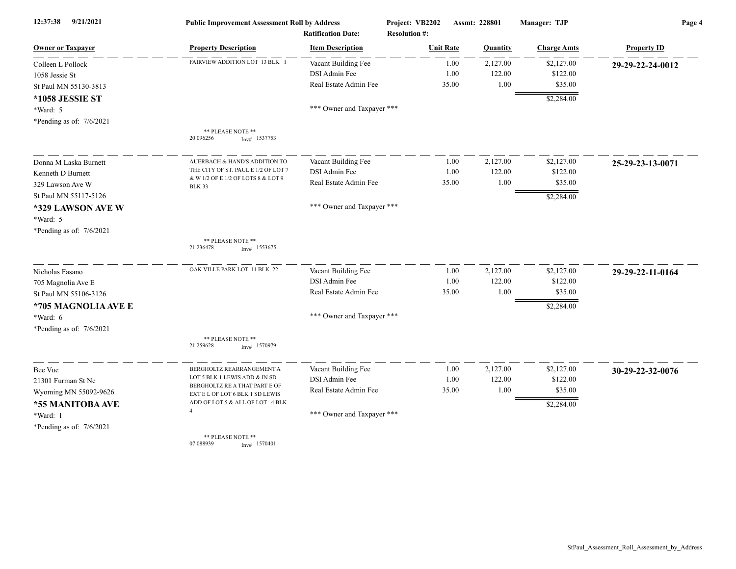| 12:37:38<br>9/21/2021      | <b>Public Improvement Assessment Roll by Address</b><br><b>Ratification Date:</b> |                            | Project: VB2202<br><b>Resolution #:</b> |       | Assmt: 228801 | Manager: TJP       | Page 4             |  |
|----------------------------|-----------------------------------------------------------------------------------|----------------------------|-----------------------------------------|-------|---------------|--------------------|--------------------|--|
| <b>Owner or Taxpayer</b>   | <b>Property Description</b>                                                       | <b>Item Description</b>    | <b>Unit Rate</b>                        |       | Quantity      | <b>Charge Amts</b> | <b>Property ID</b> |  |
| Colleen L Pollock          | FAIRVIEW ADDITION LOT 13 BLK                                                      | Vacant Building Fee        |                                         | 1.00  | 2,127.00      | \$2,127.00         | 29-29-22-24-0012   |  |
| 1058 Jessie St             |                                                                                   | DSI Admin Fee              |                                         | 1.00  | 122.00        | \$122.00           |                    |  |
| St Paul MN 55130-3813      |                                                                                   | Real Estate Admin Fee      |                                         | 35.00 | 1.00          | \$35.00            |                    |  |
| *1058 JESSIE ST            |                                                                                   |                            |                                         |       |               | \$2,284.00         |                    |  |
| *Ward: 5                   |                                                                                   | *** Owner and Taxpayer *** |                                         |       |               |                    |                    |  |
| *Pending as of: $7/6/2021$ |                                                                                   |                            |                                         |       |               |                    |                    |  |
|                            | ** PLEASE NOTE **<br>20 09 6256<br>$Inv#$ 1537753                                 |                            |                                         |       |               |                    |                    |  |
| Donna M Laska Burnett      | AUERBACH & HAND'S ADDITION TO                                                     | Vacant Building Fee        |                                         | 1.00  | 2,127.00      | \$2,127.00         | 25-29-23-13-0071   |  |
| Kenneth D Burnett          | THE CITY OF ST. PAUL E 1/2 OF LOT 7                                               | DSI Admin Fee              |                                         | 1.00  | 122.00        | \$122.00           |                    |  |
| 329 Lawson Ave W           | & W 1/2 OF E 1/2 OF LOTS 8 & LOT 9<br><b>BLK 33</b>                               | Real Estate Admin Fee      |                                         | 35.00 | 1.00          | \$35.00            |                    |  |
| St Paul MN 55117-5126      |                                                                                   |                            |                                         |       |               | \$2,284.00         |                    |  |
| *329 LAWSON AVE W          |                                                                                   | *** Owner and Taxpayer *** |                                         |       |               |                    |                    |  |
| *Ward: 5                   |                                                                                   |                            |                                         |       |               |                    |                    |  |
| *Pending as of: $7/6/2021$ |                                                                                   |                            |                                         |       |               |                    |                    |  |
|                            | ** PLEASE NOTE **<br>21 23 6478<br>$Inv#$ 1553675                                 |                            |                                         |       |               |                    |                    |  |
| Nicholas Fasano            | OAK VILLE PARK LOT 11 BLK 22                                                      | Vacant Building Fee        |                                         | 1.00  | 2,127.00      | \$2,127.00         | 29-29-22-11-0164   |  |
| 705 Magnolia Ave E         |                                                                                   | DSI Admin Fee              |                                         | 1.00  | 122.00        | \$122.00           |                    |  |
| St Paul MN 55106-3126      |                                                                                   | Real Estate Admin Fee      |                                         | 35.00 | 1.00          | \$35.00            |                    |  |
| *705 MAGNOLIA AVE E        |                                                                                   |                            |                                         |       |               | \$2,284.00         |                    |  |
| *Ward: 6                   |                                                                                   | *** Owner and Taxpayer *** |                                         |       |               |                    |                    |  |
| *Pending as of: $7/6/2021$ |                                                                                   |                            |                                         |       |               |                    |                    |  |
|                            | ** PLEASE NOTE **<br>21 259628<br>$Inv#$ 1570979                                  |                            |                                         |       |               |                    |                    |  |
| Bee Vue                    | BERGHOLTZ REARRANGEMENT A                                                         | Vacant Building Fee        |                                         | 1.00  | 2,127.00      | \$2,127.00         | 30-29-22-32-0076   |  |
| 21301 Furman St Ne         | LOT 5 BLK 1 LEWIS ADD & IN SD                                                     | DSI Admin Fee              |                                         | 1.00  | 122.00        | \$122.00           |                    |  |
| Wyoming MN 55092-9626      | BERGHOLTZ RE A THAT PART E OF<br>EXT E L OF LOT 6 BLK 1 SD LEWIS                  | Real Estate Admin Fee      |                                         | 35.00 | 1.00          | \$35.00            |                    |  |
| *55 MANITOBA AVE           | ADD OF LOT 5 & ALL OF LOT 4 BLK                                                   |                            |                                         |       |               | \$2,284.00         |                    |  |
| *Ward: 1                   |                                                                                   | *** Owner and Taxpayer *** |                                         |       |               |                    |                    |  |
| *Pending as of: $7/6/2021$ |                                                                                   |                            |                                         |       |               |                    |                    |  |
|                            | ** PLEASE NOTE **<br>07 088939<br>$Inv#$ 1570401                                  |                            |                                         |       |               |                    |                    |  |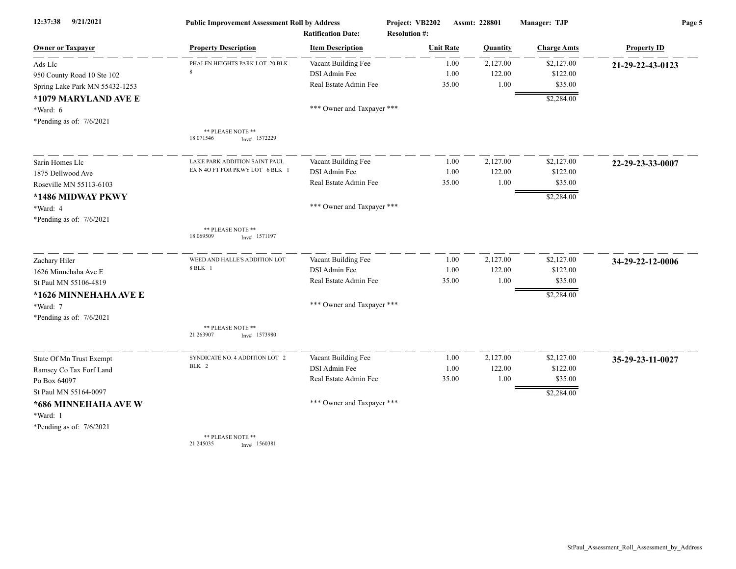| 12:37:38<br>9/21/2021          | <b>Public Improvement Assessment Roll by Address</b> |                                                      | Project: VB2202                          |       | Assmt: 228801 | Manager: TJP       | Page 5             |  |
|--------------------------------|------------------------------------------------------|------------------------------------------------------|------------------------------------------|-------|---------------|--------------------|--------------------|--|
| <b>Owner or Taxpayer</b>       | <b>Property Description</b>                          | <b>Ratification Date:</b><br><b>Item Description</b> | <b>Resolution #:</b><br><b>Unit Rate</b> |       | Quantity      | <b>Charge Amts</b> | <b>Property ID</b> |  |
| Ads Llc                        | PHALEN HEIGHTS PARK LOT 20 BLK                       | Vacant Building Fee                                  |                                          | 1.00  | 2,127.00      | \$2,127.00         | 21-29-22-43-0123   |  |
| 950 County Road 10 Ste 102     | $\mathbf{\hat{z}}$                                   | DSI Admin Fee                                        |                                          | 1.00  | 122.00        | \$122.00           |                    |  |
| Spring Lake Park MN 55432-1253 |                                                      | Real Estate Admin Fee                                |                                          | 35.00 | 1.00          | \$35.00            |                    |  |
| *1079 MARYLAND AVE E           |                                                      |                                                      |                                          |       |               | \$2,284.00         |                    |  |
| *Ward: 6                       |                                                      | *** Owner and Taxpayer ***                           |                                          |       |               |                    |                    |  |
| *Pending as of: 7/6/2021       |                                                      |                                                      |                                          |       |               |                    |                    |  |
|                                | ** PLEASE NOTE **<br>18 071546<br>$Inv#$ 1572229     |                                                      |                                          |       |               |                    |                    |  |
| Sarin Homes Llc                | LAKE PARK ADDITION SAINT PAUL                        | Vacant Building Fee                                  |                                          | 1.00  | 2,127.00      | \$2,127.00         | 22-29-23-33-0007   |  |
| 1875 Dellwood Ave              | EX N 4O FT FOR PKWY LOT 6 BLK 1                      | DSI Admin Fee                                        |                                          | 1.00  | 122.00        | \$122.00           |                    |  |
| Roseville MN 55113-6103        |                                                      | Real Estate Admin Fee                                |                                          | 35.00 | 1.00          | \$35.00            |                    |  |
| *1486 MIDWAY PKWY              |                                                      |                                                      |                                          |       |               | \$2,284.00         |                    |  |
| *Ward: 4                       |                                                      | *** Owner and Taxpayer ***                           |                                          |       |               |                    |                    |  |
| *Pending as of: $7/6/2021$     |                                                      |                                                      |                                          |       |               |                    |                    |  |
|                                | ** PLEASE NOTE **<br>18 069509<br>$Inv#$ 1571197     |                                                      |                                          |       |               |                    |                    |  |
| Zachary Hiler                  | WEED AND HALLE'S ADDITION LOT                        | Vacant Building Fee                                  |                                          | 1.00  | 2,127.00      | \$2,127.00         | 34-29-22-12-0006   |  |
| 1626 Minnehaha Ave E           | 8 BLK 1                                              | DSI Admin Fee                                        |                                          | 1.00  | 122.00        | \$122.00           |                    |  |
| St Paul MN 55106-4819          |                                                      | Real Estate Admin Fee                                |                                          | 35.00 | 1.00          | \$35.00            |                    |  |
| *1626 MINNEHAHA AVE E          |                                                      |                                                      |                                          |       |               | \$2,284.00         |                    |  |
| *Ward: 7                       |                                                      | *** Owner and Taxpayer ***                           |                                          |       |               |                    |                    |  |
| *Pending as of: $7/6/2021$     |                                                      |                                                      |                                          |       |               |                    |                    |  |
|                                | ** PLEASE NOTE **<br>21 263907<br>$Inv#$ 1573980     |                                                      |                                          |       |               |                    |                    |  |
| State Of Mn Trust Exempt       | SYNDICATE NO. 4 ADDITION LOT 2                       | Vacant Building Fee                                  |                                          | 1.00  | 2,127.00      | \$2,127.00         | 35-29-23-11-0027   |  |
| Ramsey Co Tax Forf Land        | BLK 2                                                | DSI Admin Fee                                        |                                          | 1.00  | 122.00        | \$122.00           |                    |  |
| Po Box 64097                   |                                                      | Real Estate Admin Fee                                |                                          | 35.00 | 1.00          | \$35.00            |                    |  |
| St Paul MN 55164-0097          |                                                      |                                                      |                                          |       |               | \$2,284.00         |                    |  |
| *686 MINNEHAHA AVE W           |                                                      | *** Owner and Taxpayer ***                           |                                          |       |               |                    |                    |  |
| *Ward: 1                       |                                                      |                                                      |                                          |       |               |                    |                    |  |
| *Pending as of: $7/6/2021$     |                                                      |                                                      |                                          |       |               |                    |                    |  |
|                                | ** PLEASE NOTE **                                    |                                                      |                                          |       |               |                    |                    |  |

21 245035 Inv# 1560381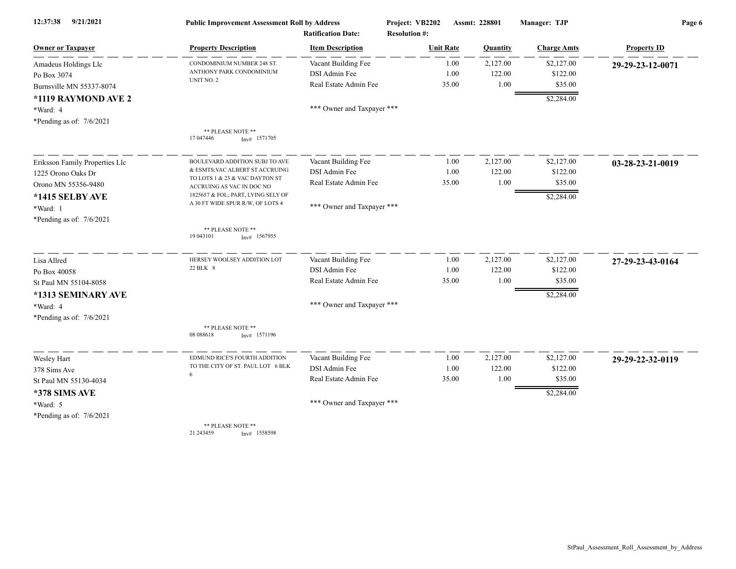| 9/21/2021<br>12:37:38          | <b>Public Improvement Assessment Roll by Address</b><br><b>Ratification Date:</b> |                            | Project: VB2202<br><b>Resolution #:</b> |       | Assmt: 228801 | Manager: TJP       | Page 6             |  |
|--------------------------------|-----------------------------------------------------------------------------------|----------------------------|-----------------------------------------|-------|---------------|--------------------|--------------------|--|
| <b>Owner or Taxpayer</b>       | <b>Property Description</b>                                                       | <b>Item Description</b>    | <b>Unit Rate</b>                        |       | Quantity      | <b>Charge Amts</b> | <b>Property ID</b> |  |
| Amadeus Holdings Llc           | CONDOMINIUM NUMBER 248 ST.                                                        | Vacant Building Fee        |                                         | 1.00  | 2,127.00      | \$2,127.00         | 29-29-23-12-0071   |  |
| Po Box 3074                    | ANTHONY PARK CONDOMINIUM                                                          | DSI Admin Fee              |                                         | 1.00  | 122.00        | \$122.00           |                    |  |
| Burnsville MN 55337-8074       | UNIT NO. 2                                                                        | Real Estate Admin Fee      |                                         | 35.00 | 1.00          | \$35.00            |                    |  |
| *1119 RAYMOND AVE 2            |                                                                                   |                            |                                         |       |               | \$2,284.00         |                    |  |
| *Ward: 4                       |                                                                                   | *** Owner and Taxpayer *** |                                         |       |               |                    |                    |  |
| *Pending as of: $7/6/2021$     |                                                                                   |                            |                                         |       |               |                    |                    |  |
|                                | ** PLEASE NOTE **<br>17 047446<br>$Inv#$ 1571705                                  |                            |                                         |       |               |                    |                    |  |
| Eriksson Family Properties Llc | BOULEVARD ADDITION SUBJ TO AVE                                                    | Vacant Building Fee        |                                         | 1.00  | 2,127.00      | \$2,127.00         | 03-28-23-21-0019   |  |
| 1225 Orono Oaks Dr             | & ESMTS; VAC ALBERT ST ACCRUING                                                   | DSI Admin Fee              |                                         | 1.00  | 122.00        | \$122.00           |                    |  |
| Orono MN 55356-9480            | TO LOTS 1 & 23 & VAC DAYTON ST<br>ACCRUING AS VAC IN DOC NO                       | Real Estate Admin Fee      |                                         | 35.00 | 1.00          | \$35.00            |                    |  |
| *1415 SELBY AVE                | 1825657 & FOL; PART, LYING SELY OF                                                |                            |                                         |       |               | \$2,284.00         |                    |  |
| *Ward: 1                       | A 30 FT WIDE SPUR R/W, OF LOTS 4                                                  | *** Owner and Taxpayer *** |                                         |       |               |                    |                    |  |
| *Pending as of: $7/6/2021$     |                                                                                   |                            |                                         |       |               |                    |                    |  |
|                                | ** PLEASE NOTE **<br>19 043 101<br>$Inv#$ 1567955                                 |                            |                                         |       |               |                    |                    |  |
| Lisa Allred                    | HERSEY WOOLSEY ADDITION LOT                                                       | Vacant Building Fee        |                                         | 1.00  | 2,127.00      | \$2,127.00         | 27-29-23-43-0164   |  |
| Po Box 40058                   | 22 BLK 8                                                                          | DSI Admin Fee              |                                         | 1.00  | 122.00        | \$122.00           |                    |  |
| St Paul MN 55104-8058          |                                                                                   | Real Estate Admin Fee      |                                         | 35.00 | 1.00          | \$35.00            |                    |  |
| *1313 SEMINARY AVE             |                                                                                   |                            |                                         |       |               | \$2,284.00         |                    |  |
| *Ward: 4                       |                                                                                   | *** Owner and Taxpayer *** |                                         |       |               |                    |                    |  |
| *Pending as of: $7/6/2021$     |                                                                                   |                            |                                         |       |               |                    |                    |  |
|                                | ** PLEASE NOTE **<br>08 088618<br>$Inv#$ 1571196                                  |                            |                                         |       |               |                    |                    |  |
| Wesley Hart                    | EDMUND RICE'S FOURTH ADDITION                                                     | Vacant Building Fee        |                                         | 1.00  | 2,127.00      | \$2,127.00         | 29-29-22-32-0119   |  |
| 378 Sims Ave                   | TO THE CITY OF ST. PAUL LOT 6 BLK                                                 | DSI Admin Fee              |                                         | 1.00  | 122.00        | \$122.00           |                    |  |
| St Paul MN 55130-4034          | 6                                                                                 | Real Estate Admin Fee      |                                         | 35.00 | 1.00          | \$35.00            |                    |  |
| *378 SIMS AVE                  |                                                                                   |                            |                                         |       |               | \$2,284.00         |                    |  |
| *Ward: 5                       |                                                                                   | *** Owner and Taxpayer *** |                                         |       |               |                    |                    |  |
| *Pending as of: $7/6/2021$     |                                                                                   |                            |                                         |       |               |                    |                    |  |
|                                | ** PLEASE NOTE **<br>21 24 34 59<br>$Inv#$ 1558598                                |                            |                                         |       |               |                    |                    |  |